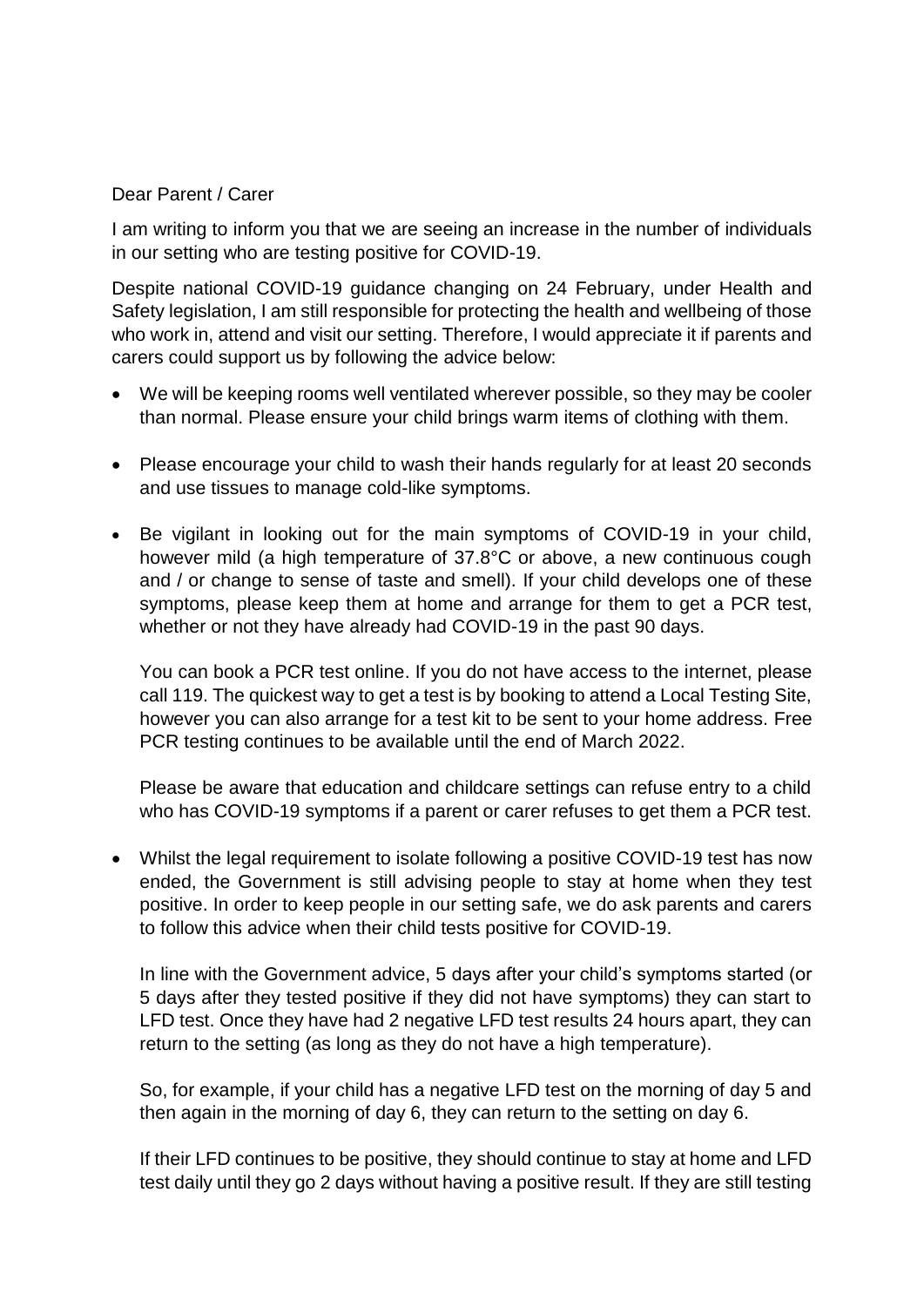## Dear Parent / Carer

I am writing to inform you that we are seeing an increase in the number of individuals in our setting who are testing positive for COVID-19.

Despite national COVID-19 guidance changing on 24 February, under Health and Safety legislation, I am still responsible for protecting the health and wellbeing of those who work in, attend and visit our setting. Therefore, I would appreciate it if parents and carers could support us by following the advice below:

- We will be keeping rooms well ventilated wherever possible, so they may be cooler than normal. Please ensure your child brings warm items of clothing with them.
- Please encourage your child to wash their hands regularly for at least 20 seconds and use tissues to manage cold-like symptoms.
- Be vigilant in looking out for the main symptoms of COVID-19 in your child, however mild (a high temperature of 37.8°C or above, a new continuous cough and / or change to sense of taste and smell). If your child develops one of these symptoms, please keep them at home and arrange for them to get a PCR test, whether or not they have already had COVID-19 in the past 90 days.

You can book a PCR test online. If you do not have access to the internet, please call 119. The quickest way to get a test is by booking to attend a Local Testing Site, however you can also arrange for a test kit to be sent to your home address. Free PCR testing continues to be available until the end of March 2022.

Please be aware that education and childcare settings can refuse entry to a child who has COVID-19 symptoms if a parent or carer refuses to get them a PCR test.

• Whilst the legal requirement to isolate following a positive COVID-19 test has now ended, the Government is still advising people to stay at home when they test positive. In order to keep people in our setting safe, we do ask parents and carers to follow this advice when their child tests positive for COVID-19.

In line with the Government advice, 5 days after your child's symptoms started (or 5 days after they tested positive if they did not have symptoms) they can start to LFD test. Once they have had 2 negative LFD test results 24 hours apart, they can return to the setting (as long as they do not have a high temperature).

So, for example, if your child has a negative LFD test on the morning of day 5 and then again in the morning of day 6, they can return to the setting on day 6.

If their LFD continues to be positive, they should continue to stay at home and LFD test daily until they go 2 days without having a positive result. If they are still testing